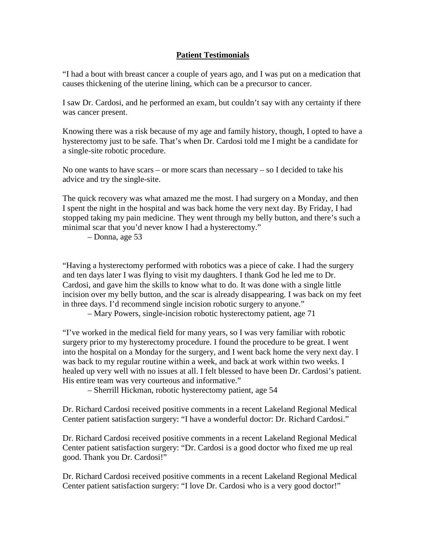## **Patient Testimonials**

"I had a bout with breast cancer a couple of years ago, and I was put on a medication that causes thickening of the uterine lining, which can be a precursor to cancer.

I saw Dr. Cardosi, and he performed an exam, but couldn't say with any certainty if there was cancer present.

Knowing there was a risk because of my age and family history, though, I opted to have a hysterectomy just to be safe. That's when Dr. Cardosi told me I might be a candidate for a single-site robotic procedure.

No one wants to have scars – or more scars than necessary – so I decided to take his advice and try the single-site.

The quick recovery was what amazed me the most. I had surgery on a Monday, and then I spent the night in the hospital and was back home the very next day. By Friday, I had stopped taking my pain medicine. They went through my belly button, and there's such a minimal scar that you'd never know I had a hysterectomy."

– Donna, age 53

"Having a hysterectomy performed with robotics was a piece of cake. I had the surgery and ten days later I was flying to visit my daughters. I thank God he led me to Dr. Cardosi, and gave him the skills to know what to do. It was done with a single little incision over my belly button, and the scar is already disappearing. I was back on my feet in three days. I'd recommend single incision robotic surgery to anyone."

– Mary Powers, single-incision robotic hysterectomy patient, age 71

"I've worked in the medical field for many years, so I was very familiar with robotic surgery prior to my hysterectomy procedure. I found the procedure to be great. I went into the hospital on a Monday for the surgery, and I went back home the very next day. I was back to my regular routine within a week, and back at work within two weeks. I healed up very well with no issues at all. I felt blessed to have been Dr. Cardosi's patient. His entire team was very courteous and informative."

– Sherrill Hickman, robotic hysterectomy patient, age 54

Dr. Richard Cardosi received positive comments in a recent Lakeland Regional Medical Center patient satisfaction surgery: "I have a wonderful doctor: Dr. Richard Cardosi."

Dr. Richard Cardosi received positive comments in a recent Lakeland Regional Medical Center patient satisfaction surgery: "Dr. Cardosi is a good doctor who fixed me up real good. Thank you Dr. Cardosi!"

Dr. Richard Cardosi received positive comments in a recent Lakeland Regional Medical Center patient satisfaction surgery: "I love Dr. Cardosi who is a very good doctor!"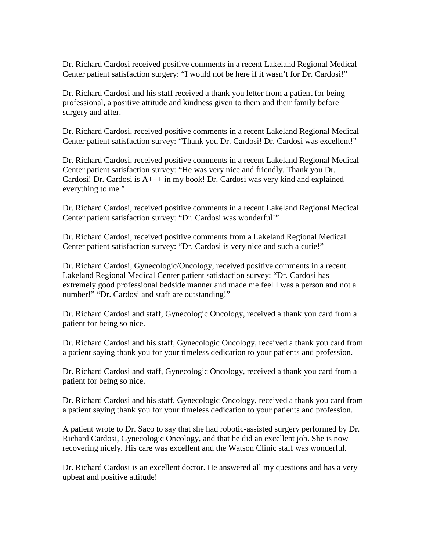Dr. Richard Cardosi received positive comments in a recent Lakeland Regional Medical Center patient satisfaction surgery: "I would not be here if it wasn't for Dr. Cardosi!"

Dr. Richard Cardosi and his staff received a thank you letter from a patient for being professional, a positive attitude and kindness given to them and their family before surgery and after.

Dr. Richard Cardosi, received positive comments in a recent Lakeland Regional Medical Center patient satisfaction survey: "Thank you Dr. Cardosi! Dr. Cardosi was excellent!"

Dr. Richard Cardosi, received positive comments in a recent Lakeland Regional Medical Center patient satisfaction survey: "He was very nice and friendly. Thank you Dr. Cardosi! Dr. Cardosi is A+++ in my book! Dr. Cardosi was very kind and explained everything to me."

Dr. Richard Cardosi, received positive comments in a recent Lakeland Regional Medical Center patient satisfaction survey: "Dr. Cardosi was wonderful!"

Dr. Richard Cardosi, received positive comments from a Lakeland Regional Medical Center patient satisfaction survey: "Dr. Cardosi is very nice and such a cutie!"

Dr. Richard Cardosi, Gynecologic/Oncology, received positive comments in a recent Lakeland Regional Medical Center patient satisfaction survey: "Dr. Cardosi has extremely good professional bedside manner and made me feel I was a person and not a number!" "Dr. Cardosi and staff are outstanding!"

Dr. Richard Cardosi and staff, Gynecologic Oncology, received a thank you card from a patient for being so nice.

Dr. Richard Cardosi and his staff, Gynecologic Oncology, received a thank you card from a patient saying thank you for your timeless dedication to your patients and profession.

Dr. Richard Cardosi and staff, Gynecologic Oncology, received a thank you card from a patient for being so nice.

Dr. Richard Cardosi and his staff, Gynecologic Oncology, received a thank you card from a patient saying thank you for your timeless dedication to your patients and profession.

A patient wrote to Dr. Saco to say that she had robotic-assisted surgery performed by Dr. Richard Cardosi, Gynecologic Oncology, and that he did an excellent job. She is now recovering nicely. His care was excellent and the Watson Clinic staff was wonderful.

Dr. Richard Cardosi is an excellent doctor. He answered all my questions and has a very upbeat and positive attitude!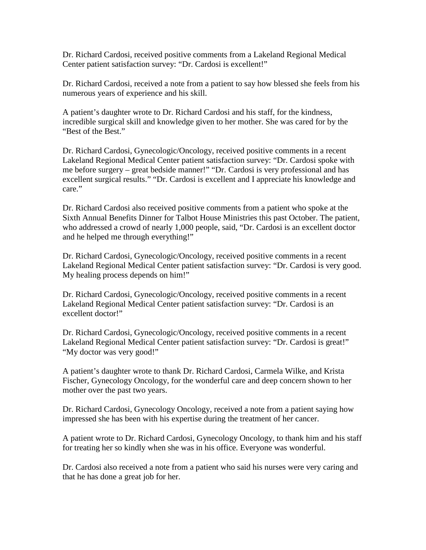Dr. Richard Cardosi, received positive comments from a Lakeland Regional Medical Center patient satisfaction survey: "Dr. Cardosi is excellent!"

Dr. Richard Cardosi, received a note from a patient to say how blessed she feels from his numerous years of experience and his skill.

A patient's daughter wrote to Dr. Richard Cardosi and his staff, for the kindness, incredible surgical skill and knowledge given to her mother. She was cared for by the "Best of the Best."

Dr. Richard Cardosi, Gynecologic/Oncology, received positive comments in a recent Lakeland Regional Medical Center patient satisfaction survey: "Dr. Cardosi spoke with me before surgery – great bedside manner!" "Dr. Cardosi is very professional and has excellent surgical results." "Dr. Cardosi is excellent and I appreciate his knowledge and care."

Dr. Richard Cardosi also received positive comments from a patient who spoke at the Sixth Annual Benefits Dinner for Talbot House Ministries this past October. The patient, who addressed a crowd of nearly 1,000 people, said, "Dr. Cardosi is an excellent doctor and he helped me through everything!"

Dr. Richard Cardosi, Gynecologic/Oncology, received positive comments in a recent Lakeland Regional Medical Center patient satisfaction survey: "Dr. Cardosi is very good. My healing process depends on him!"

Dr. Richard Cardosi, Gynecologic/Oncology, received positive comments in a recent Lakeland Regional Medical Center patient satisfaction survey: "Dr. Cardosi is an excellent doctor!"

Dr. Richard Cardosi, Gynecologic/Oncology, received positive comments in a recent Lakeland Regional Medical Center patient satisfaction survey: "Dr. Cardosi is great!" "My doctor was very good!"

A patient's daughter wrote to thank Dr. Richard Cardosi, Carmela Wilke, and Krista Fischer, Gynecology Oncology, for the wonderful care and deep concern shown to her mother over the past two years.

Dr. Richard Cardosi, Gynecology Oncology, received a note from a patient saying how impressed she has been with his expertise during the treatment of her cancer.

A patient wrote to Dr. Richard Cardosi, Gynecology Oncology, to thank him and his staff for treating her so kindly when she was in his office. Everyone was wonderful.

Dr. Cardosi also received a note from a patient who said his nurses were very caring and that he has done a great job for her.